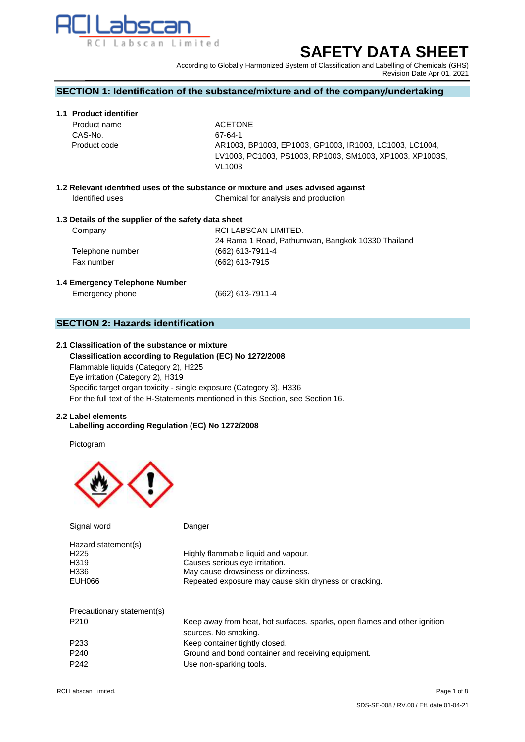

# **SAFETY DATA SHEET**

According to Globally Harmonized System of Classification and Labelling of Chemicals (GHS) Revision Date Apr 01, 2021

# **SECTION 1: Identification of the substance/mixture and of the company/undertaking**

## **1.1 Product identifier**

**Product name ACETONE** CAS-No. 67‐64‐1 Product code AR1003, BP1003, EP1003, GP1003, IR1003, LC1003, LC1004, LV1003, PC1003, PS1003, RP1003, SM1003, XP1003, XP1003S, VL1003

**1.2 Relevant identified uses of the substance or mixture and uses advised against** Identified uses **Chemical for analysis and production** 

## **1.3 Details of the supplier of the safety data sheet**

| Company          | RCI LABSCAN LIMITED.                              |
|------------------|---------------------------------------------------|
|                  | 24 Rama 1 Road, Pathumwan, Bangkok 10330 Thailand |
| Telephone number | $(662)$ 613-7911-4                                |
| Fax number       | (662) 613-7915                                    |
|                  |                                                   |

#### **1.4 Emergency Telephone Number**

Emergency phone (662) 613-7911-4

# **SECTION 2: Hazards identification**

# **2.1 Classification of the substance or mixture**

 **Classification according to Regulation (EC) No 1272/2008** Flammable liquids (Category 2), H225 Eye irritation (Category 2), H319 Specific target organ toxicity - single exposure (Category 3), H336 For the full text of the H-Statements mentioned in this Section, see Section 16.

#### **2.2 Label elements**

## **Labelling according Regulation (EC) No 1272/2008**

Pictogram



| Signal word                | Danger                                                                    |
|----------------------------|---------------------------------------------------------------------------|
| Hazard statement(s)        |                                                                           |
| H <sub>225</sub>           | Highly flammable liquid and vapour.                                       |
| H319                       | Causes serious eye irritation.                                            |
| H336                       | May cause drowsiness or dizziness.                                        |
| EUH066                     | Repeated exposure may cause skin dryness or cracking.                     |
|                            |                                                                           |
| Precautionary statement(s) |                                                                           |
| P <sub>210</sub>           | Keep away from heat, hot surfaces, sparks, open flames and other ignition |
|                            | sources. No smoking.                                                      |
| P <sub>2</sub> 33          | Keep container tightly closed.                                            |
| P <sub>240</sub>           | Ground and bond container and receiving equipment.                        |
|                            |                                                                           |

P242 Use non-sparking tools.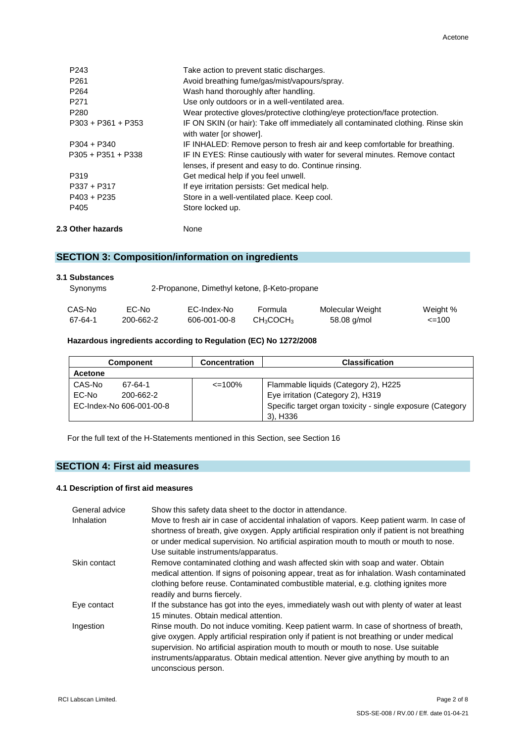| $P403 + P235$<br>P405 | Store in a well-ventilated place. Keep cool.<br>Store locked up.                                      |
|-----------------------|-------------------------------------------------------------------------------------------------------|
| P337 + P317           | If eye irritation persists: Get medical help.                                                         |
| P319                  | lenses, if present and easy to do. Continue rinsing.<br>Get medical help if you feel unwell.          |
| $P305 + P351 + P338$  | IF IN EYES: Rinse cautiously with water for several minutes. Remove contact                           |
| $P304 + P340$         | with water [or shower].<br>IF INHALED: Remove person to fresh air and keep comfortable for breathing. |
| $P303 + P361 + P353$  | IF ON SKIN (or hair): Take off immediately all contaminated clothing. Rinse skin                      |
| P <sub>280</sub>      | Wear protective gloves/protective clothing/eye protection/face protection.                            |
| P <sub>271</sub>      | Use only outdoors or in a well-ventilated area.                                                       |
| P <sub>264</sub>      | Wash hand thoroughly after handling.                                                                  |
| P <sub>261</sub>      | Avoid breathing fume/gas/mist/vapours/spray.                                                          |
| P <sub>243</sub>      | Take action to prevent static discharges.                                                             |

# **SECTION 3: Composition/information on ingredients**

| 3.1 Substances<br>Synonyms | 2-Propanone, Dimethyl ketone, β-Keto-propane |              |                                   |                  |            |
|----------------------------|----------------------------------------------|--------------|-----------------------------------|------------------|------------|
| CAS-No                     | EC-No                                        | EC-Index-No  | Formula                           | Molecular Weight | Weight %   |
| 67-64-1                    | 200-662-2                                    | 606-001-00-8 | CH <sub>3</sub> COCH <sub>3</sub> | 58.08 g/mol      | $\leq$ 100 |

# **Hazardous ingredients according to Regulation (EC) No 1272/2008**

|                | <b>Component</b>         | <b>Concentration</b><br><b>Classification</b> |                                                            |
|----------------|--------------------------|-----------------------------------------------|------------------------------------------------------------|
| <b>Acetone</b> |                          |                                               |                                                            |
| CAS-No         | 67-64-1                  | $\leq$ 100%                                   | Flammable liquids (Category 2), H225                       |
| EC-No          | 200-662-2                |                                               | Eye irritation (Category 2), H319                          |
|                | EC-Index-No 606-001-00-8 |                                               | Specific target organ toxicity - single exposure (Category |
|                |                          |                                               | 3), H336                                                   |

For the full text of the H-Statements mentioned in this Section, see Section 16

# **SECTION 4: First aid measures**

## **4.1 Description of first aid measures**

| General advice<br><b>Inhalation</b> | Show this safety data sheet to the doctor in attendance.<br>Move to fresh air in case of accidental inhalation of vapors. Keep patient warm. In case of<br>shortness of breath, give oxygen. Apply artificial respiration only if patient is not breathing<br>or under medical supervision. No artificial aspiration mouth to mouth or mouth to nose.<br>Use suitable instruments/apparatus. |
|-------------------------------------|----------------------------------------------------------------------------------------------------------------------------------------------------------------------------------------------------------------------------------------------------------------------------------------------------------------------------------------------------------------------------------------------|
| Skin contact                        | Remove contaminated clothing and wash affected skin with soap and water. Obtain<br>medical attention. If signs of poisoning appear, treat as for inhalation. Wash contaminated<br>clothing before reuse. Contaminated combustible material, e.g. clothing ignites more<br>readily and burns fiercely.                                                                                        |
| Eye contact                         | If the substance has got into the eyes, immediately wash out with plenty of water at least<br>15 minutes. Obtain medical attention.                                                                                                                                                                                                                                                          |
| Ingestion                           | Rinse mouth. Do not induce vomiting. Keep patient warm. In case of shortness of breath,<br>give oxygen. Apply artificial respiration only if patient is not breathing or under medical<br>supervision. No artificial aspiration mouth to mouth or mouth to nose. Use suitable<br>instruments/apparatus. Obtain medical attention. Never give anything by mouth to an<br>unconscious person.  |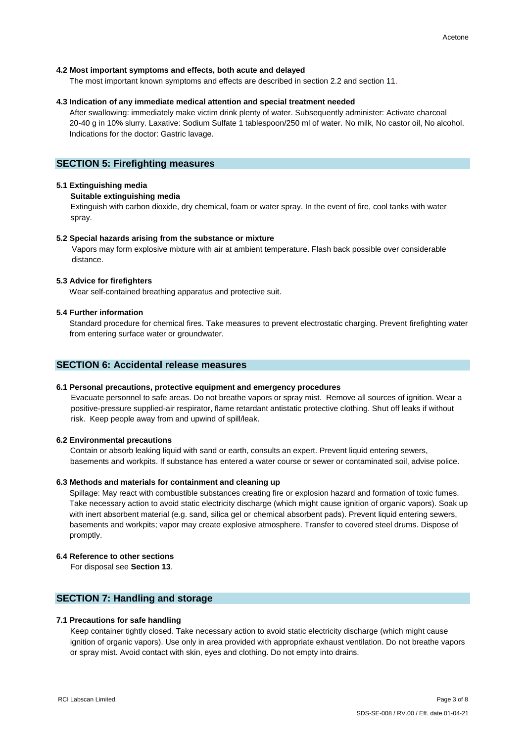#### **4.2 Most important symptoms and effects, both acute and delayed**

The most important known symptoms and effects are described in section 2.2 and section 11.

## **4.3 Indication of any immediate medical attention and special treatment needed**

 After swallowing: immediately make victim drink plenty of water. Subsequently administer: Activate charcoal 20-40 g in 10% slurry. Laxative: Sodium Sulfate 1 tablespoon/250 ml of water. No milk, No castor oil, No alcohol. Indications for the doctor: Gastric lavage.

## **SECTION 5: Firefighting measures**

## **5.1 Extinguishing media**

**Suitable extinguishing media**

Extinguish with carbon dioxide, dry chemical, foam or water spray. In the event of fire, cool tanks with water spray.

#### **5.2 Special hazards arising from the substance or mixture**

Vapors may form explosive mixture with air at ambient temperature. Flash back possible over considerable distance.

#### **5.3 Advice for firefighters**

Wear self-contained breathing apparatus and protective suit.

## **5.4 Further information**

 Standard procedure for chemical fires. Take measures to prevent electrostatic charging. Prevent firefighting water from entering surface water or groundwater.

# **SECTION 6: Accidental release measures**

#### **6.1 Personal precautions, protective equipment and emergency procedures**

Evacuate personnel to safe areas. Do not breathe vapors or spray mist. Remove all sources of ignition. Wear a positive-pressure supplied-air respirator, flame retardant antistatic protective clothing. Shut off leaks if without risk. Keep people away from and upwind of spill/leak.

#### **6.2 Environmental precautions**

Contain or absorb leaking liquid with sand or earth, consults an expert. Prevent liquid entering sewers, basements and workpits. If substance has entered a water course or sewer or contaminated soil, advise police.

#### **6.3 Methods and materials for containment and cleaning up**

Spillage: May react with combustible substances creating fire or explosion hazard and formation of toxic fumes. Take necessary action to avoid static electricity discharge (which might cause ignition of organic vapors). Soak up with inert absorbent material (e.g. sand, silica gel or chemical absorbent pads). Prevent liquid entering sewers, basements and workpits; vapor may create explosive atmosphere. Transfer to covered steel drums. Dispose of promptly.

## **6.4 Reference to other sections**

For disposal see **Section 13**.

## **SECTION 7: Handling and storage**

#### **7.1 Precautions for safe handling**

Keep container tightly closed. Take necessary action to avoid static electricity discharge (which might cause ignition of organic vapors). Use only in area provided with appropriate exhaust ventilation. Do not breathe vapors or spray mist. Avoid contact with skin, eyes and clothing. Do not empty into drains.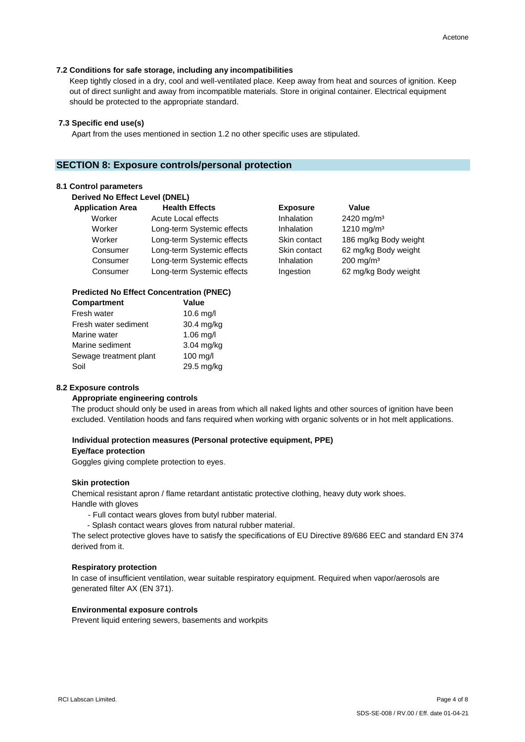#### **7.2 Conditions for safe storage, including any incompatibilities**

Keep tightly closed in a dry, cool and well-ventilated place. Keep away from heat and sources of ignition. Keep out of direct sunlight and away from incompatible materials. Store in original container. Electrical equipment should be protected to the appropriate standard.

#### **7.3 Specific end use(s)**

Apart from the uses mentioned in section 1.2 no other specific uses are stipulated.

## **SECTION 8: Exposure controls/personal protection**

#### **8.1 Control parameters**

**Derived No Effect Level (DNEL)** 

| <b>Application Area</b> | <b>Health Effects</b>      | <b>Exposure</b> | <b>Value</b> |
|-------------------------|----------------------------|-----------------|--------------|
| Worker                  | Acute Local effects        | Inhalation      | 2420 mg      |
| Worker                  | Long-term Systemic effects | Inhalation      | 1210 mg      |
| Worker                  | Long-term Systemic effects | Skin contact    | 186 mg/      |
| Consumer                | Long-term Systemic effects | Skin contact    | $62$ mg/k    |
| Consumer                | Long-term Systemic effects | Inhalation      | 200 mg/      |
| Consumer                | Long-term Systemic effects | Ingestion       | $62$ mg/k    |

#### **Predicted No Effect Concentration (PNEC)**

| Compartment            | Value       |
|------------------------|-------------|
| Fresh water            | 10.6 mg/l   |
| Fresh water sediment   | 30.4 mg/kg  |
| Marine water           | $1.06$ mg/l |
| Marine sediment        | 3.04 mg/kg  |
| Sewage treatment plant | 100 mg/l    |
| Soil                   | 29.5 mg/kg  |

nhalation 2420 mg/m<sup>3</sup>  $n$ halation  $1210$  mg/m<sup>3</sup> Skin contact 186 mg/kg Body weight Skin contact 62 mg/kg Body weight  $n$ halation 200 mg/m<sup>3</sup> ngestion 62 mg/kg Body weight

#### **8.2 Exposure controls**

#### **Appropriate engineering controls**

The product should only be used in areas from which all naked lights and other sources of ignition have been excluded. Ventilation hoods and fans required when working with organic solvents or in hot melt applications.

## **Individual protection measures (Personal protective equipment, PPE)**

#### **Eye/face protection**

Goggles giving complete protection to eyes.

#### **Skin protection**

 Chemical resistant apron / flame retardant antistatic protective clothing, heavy duty work shoes. Handle with gloves

- Full contact wears gloves from butyl rubber material.
- Splash contact wears gloves from natural rubber material.

 The select protective gloves have to satisfy the specifications of EU Directive 89/686 EEC and standard EN 374 derived from it.

#### **Respiratory protection**

In case of insufficient ventilation, wear suitable respiratory equipment. Required when vapor/aerosols are generated filter AX (EN 371).

#### **Environmental exposure controls**

Prevent liquid entering sewers, basements and workpits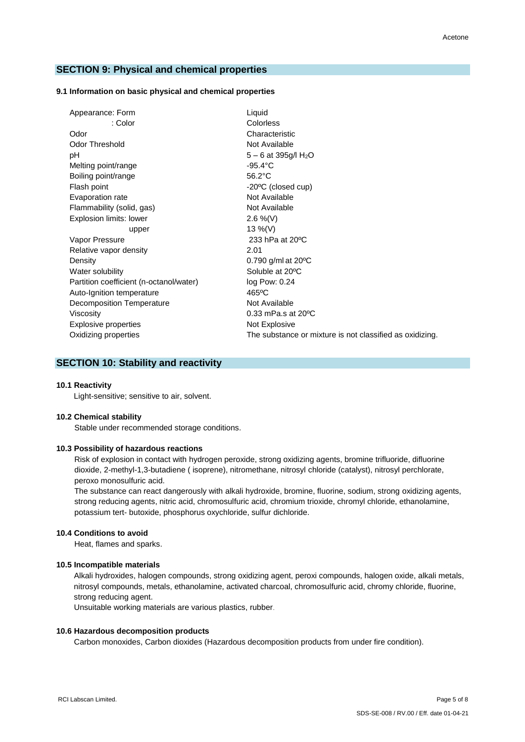## **SECTION 9: Physical and chemical properties**

#### **9.1 Information on basic physical and chemical properties**

| Appearance: Form                        | Liquid                                                   |
|-----------------------------------------|----------------------------------------------------------|
| : Color                                 | Colorless                                                |
| Odor                                    | Characteristic                                           |
| <b>Odor Threshold</b>                   | Not Available                                            |
| рH                                      | 5 - 6 at 395g/l H <sub>2</sub> O                         |
| Melting point/range                     | $-95.4^{\circ}$ C                                        |
| Boiling point/range                     | $56.2^{\circ}$ C                                         |
| Flash point                             | -20°C (closed cup)                                       |
| Evaporation rate                        | Not Available                                            |
| Flammability (solid, gas)               | Not Available                                            |
| Explosion limits: lower                 | 2.6 %(V)                                                 |
| upper                                   | 13 %(V)                                                  |
| Vapor Pressure                          | 233 hPa at 20 °C                                         |
| Relative vapor density                  | 2.01                                                     |
| Density                                 | 0.790 g/ml at $20^{\circ}$ C                             |
| Water solubility                        | Soluble at 20°C                                          |
| Partition coefficient (n-octanol/water) | log Pow: 0.24                                            |
| Auto-Ignition temperature               | $465$ °C                                                 |
| Decomposition Temperature               | Not Available                                            |
| Viscosity                               | $0.33$ mPa.s at $20^{\circ}$ C                           |
| Explosive properties                    | Not Explosive                                            |
| Oxidizing properties                    | The substance or mixture is not classified as oxidizing. |
|                                         |                                                          |

# **SECTION 10: Stability and reactivity**

#### **10.1 Reactivity**

Light-sensitive; sensitive to air, solvent.

#### **10.2 Chemical stability**

Stable under recommended storage conditions.

## **10.3 Possibility of hazardous reactions**

Risk of explosion in contact with hydrogen peroxide, strong oxidizing agents, bromine trifluoride, difluorine dioxide, 2-methyl-1,3-butadiene ( isoprene), nitromethane, nitrosyl chloride (catalyst), nitrosyl perchlorate, peroxo monosulfuric acid.

The substance can react dangerously with alkali hydroxide, bromine, fluorine, sodium, strong oxidizing agents, strong reducing agents, nitric acid, chromosulfuric acid, chromium trioxide, chromyl chloride, ethanolamine, potassium tert- butoxide, phosphorus oxychloride, sulfur dichloride.

#### **10.4 Conditions to avoid**

Heat, flames and sparks.

#### **10.5 Incompatible materials**

 Alkali hydroxides, halogen compounds, strong oxidizing agent, peroxi compounds, halogen oxide, alkali metals, nitrosyl compounds, metals, ethanolamine, activated charcoal, chromosulfuric acid, chromy chloride, fluorine, strong reducing agent.

Unsuitable working materials are various plastics, rubber.

## **10.6 Hazardous decomposition products**

Carbon monoxides, Carbon dioxides (Hazardous decomposition products from under fire condition).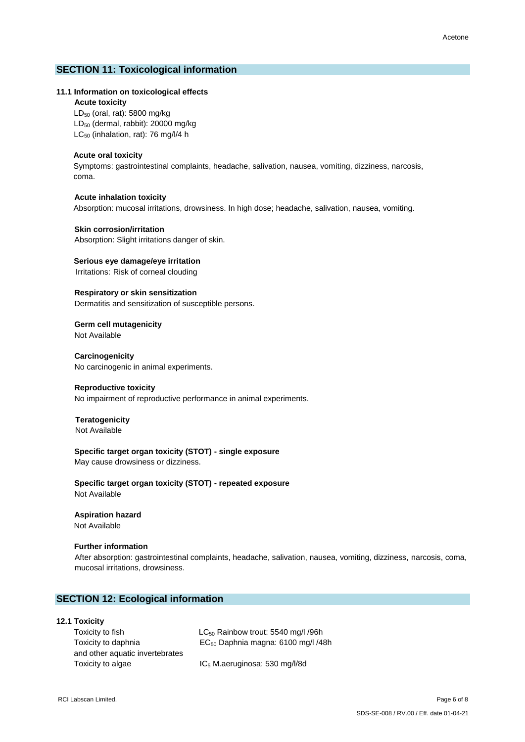## **SECTION 11: Toxicological information**

#### **11.1 Information on toxicological effects**

**Acute toxicity**

 LD<sup>50</sup> (oral, rat): 5800 mg/kg LD<sup>50</sup> (dermal, rabbit): 20000 mg/kg LC<sub>50</sub> (inhalation, rat): 76 mg/l/4 h

#### **Acute oral toxicity**

Symptoms: gastrointestinal complaints, headache, salivation, nausea, vomiting, dizziness, narcosis, coma.

## **Acute inhalation toxicity**

Absorption: mucosal irritations, drowsiness. In high dose; headache, salivation, nausea, vomiting.

#### **Skin corrosion/irritation**

Absorption: Slight irritations danger of skin.

## **Serious eye damage/eye irritation**

Irritations: Risk of corneal clouding

**Respiratory or skin sensitization** Dermatitis and sensitization of susceptible persons.

**Germ cell mutagenicity** Not Available

**Carcinogenicity** No carcinogenic in animal experiments.

#### **Reproductive toxicity**

No impairment of reproductive performance in animal experiments.

#### **Teratogenicity** Not Available

**Specific target organ toxicity (STOT) - single exposure**

May cause drowsiness or dizziness.

**Specific target organ toxicity (STOT) - repeated exposure** Not Available

## **Aspiration hazard**

Not Available

#### **Further information**

 After absorption: gastrointestinal complaints, headache, salivation, nausea, vomiting, dizziness, narcosis, coma, mucosal irritations, drowsiness.

## **SECTION 12: Ecological information**

## **12.1 Toxicity**

 and other aquatic invertebrates Toxicity to algae IC<sub>5</sub> M.aeruginosa: 530 mg/l/8d

 Toxicity to fish LC<sup>50</sup> Rainbow trout: 5540 mg/l /96h Toxicity to daphnia EC<sup>50</sup> Daphnia magna: 6100 mg/l /48h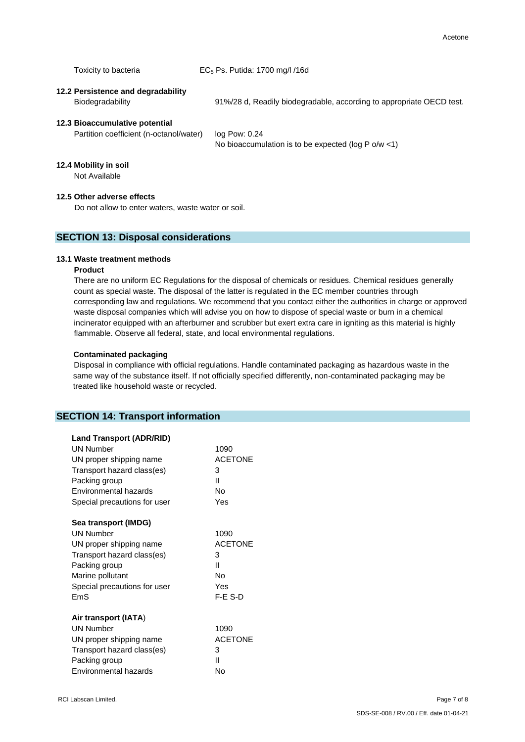Toxicity to bacteria  $EC_5$  Ps. Putida: 1700 mg/l /16d

# **12.2 Persistence and degradability**

Biodegradability 91%/28 d, Readily biodegradable, according to appropriate OECD test.

## **12.3 Bioaccumulative potential**

Partition coefficient (n-octanol/water) log Pow: 0.24

No bioaccumulation is to be expected (log P o/w <1)

#### **12.4 Mobility in soil**

Not Available

## **12.5 Other adverse effects**

Do not allow to enter waters, waste water or soil.

## **SECTION 13: Disposal considerations**

#### **13.1 Waste treatment methods**

## **Product**

 There are no uniform EC Regulations for the disposal of chemicals or residues. Chemical residues generally count as special waste. The disposal of the latter is regulated in the EC member countries through corresponding law and regulations. We recommend that you contact either the authorities in charge or approved waste disposal companies which will advise you on how to dispose of special waste or burn in a chemical incinerator equipped with an afterburner and scrubber but exert extra care in igniting as this material is highly flammable. Observe all federal, state, and local environmental regulations.

#### **Contaminated packaging**

 Disposal in compliance with official regulations. Handle contaminated packaging as hazardous waste in the same way of the substance itself. If not officially specified differently, non-contaminated packaging may be treated like household waste or recycled.

# **SECTION 14: Transport information**

| <b>Land Transport (ADR/RID)</b><br><b>UN Number</b><br>UN proper shipping name<br>Transport hazard class(es) | 1090<br><b>ACETONE</b><br>3 |
|--------------------------------------------------------------------------------------------------------------|-----------------------------|
| Packing group                                                                                                | Ш                           |
| Environmental hazards<br>Special precautions for user                                                        | No<br>Yes                   |
| Sea transport (IMDG)                                                                                         |                             |
| <b>UN Number</b>                                                                                             | 1090                        |
| UN proper shipping name                                                                                      | <b>ACETONE</b>              |
| Transport hazard class(es)                                                                                   | 3                           |
| Packing group                                                                                                | Ш                           |
| Marine pollutant                                                                                             | No                          |
| Special precautions for user                                                                                 | Yes                         |
| FmS                                                                                                          | F-F S-D                     |
| Air transport (IATA)                                                                                         |                             |
| <b>UN Number</b>                                                                                             | 1090                        |
| UN proper shipping name                                                                                      | <b>ACETONE</b>              |
| Transport hazard class(es)                                                                                   | 3                           |
| Packing group                                                                                                | Ш                           |
| Environmental hazards                                                                                        | No                          |
|                                                                                                              |                             |